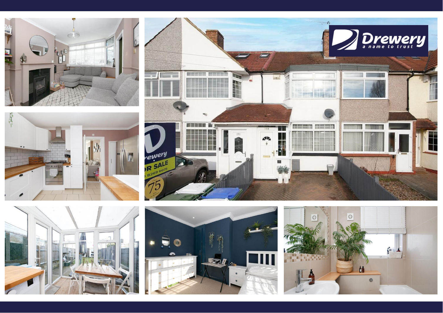